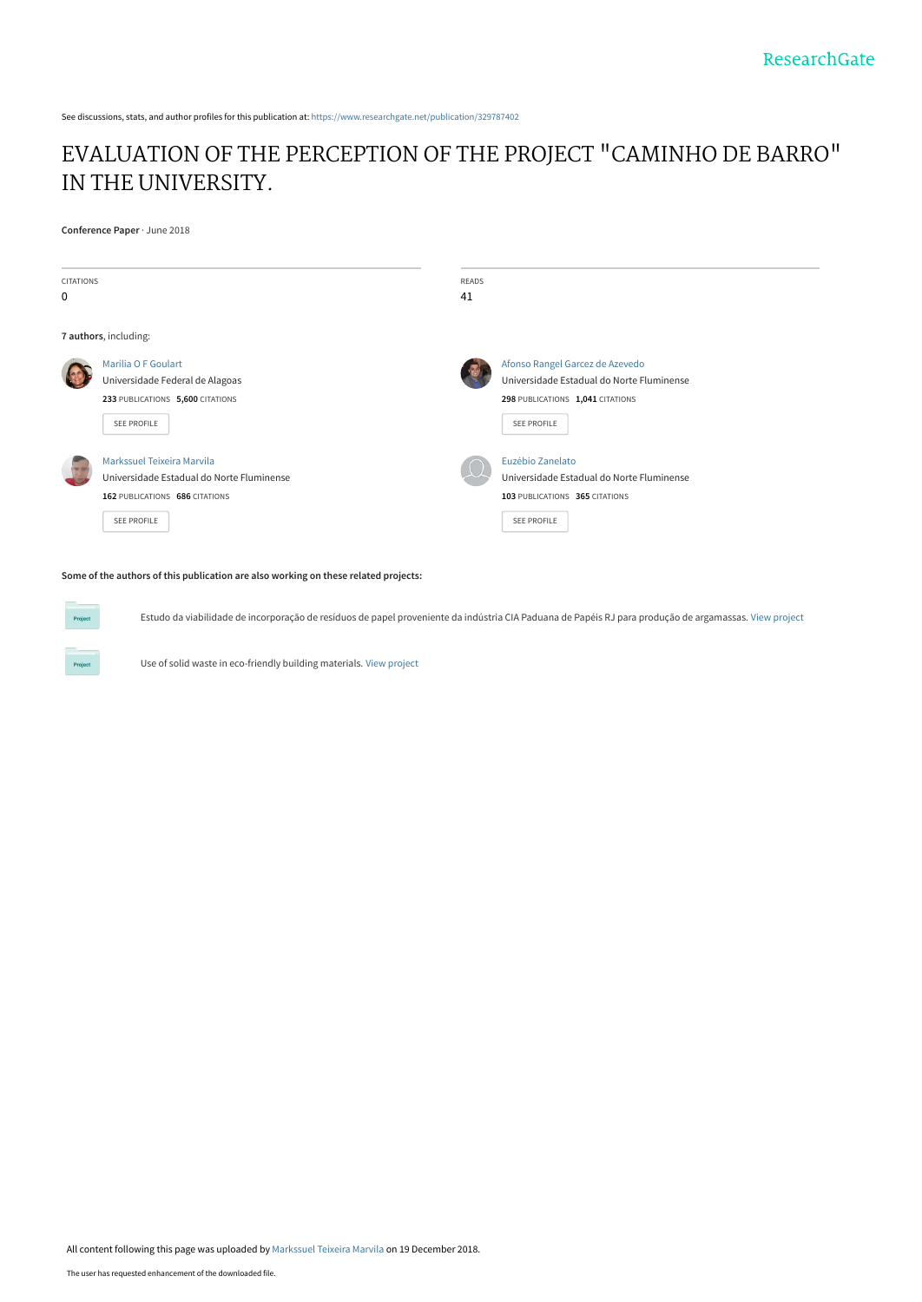See discussions, stats, and author profiles for this publication at: [https://www.researchgate.net/publication/329787402](https://www.researchgate.net/publication/329787402_EVALUATION_OF_THE_PERCEPTION_OF_THE_PROJECT_CAMINHO_DE_BARRO_IN_THE_UNIVERSITY?enrichId=rgreq-709e51d065a6c895041e8d7fc1158b26-XXX&enrichSource=Y292ZXJQYWdlOzMyOTc4NzQwMjtBUzo3MDU2NTUzNTQ3MDM4NzJAMTU0NTI1Mjc1NTAzNA%3D%3D&el=1_x_2&_esc=publicationCoverPdf)

# [EVALUATION OF THE PERCEPTION OF THE PROJECT "CAMINHO DE BARRO"](https://www.researchgate.net/publication/329787402_EVALUATION_OF_THE_PERCEPTION_OF_THE_PROJECT_CAMINHO_DE_BARRO_IN_THE_UNIVERSITY?enrichId=rgreq-709e51d065a6c895041e8d7fc1158b26-XXX&enrichSource=Y292ZXJQYWdlOzMyOTc4NzQwMjtBUzo3MDU2NTUzNTQ3MDM4NzJAMTU0NTI1Mjc1NTAzNA%3D%3D&el=1_x_3&_esc=publicationCoverPdf) IN THE UNIVERSITY.

**Conference Paper** · June 2018

| <b>CITATIONS</b><br>$\mathbf 0$ |                                                                                                                                 | <b>READS</b><br>41 |                                                                                                                                        |  |
|---------------------------------|---------------------------------------------------------------------------------------------------------------------------------|--------------------|----------------------------------------------------------------------------------------------------------------------------------------|--|
| 7 authors, including:           |                                                                                                                                 |                    |                                                                                                                                        |  |
|                                 | Marília O F Goulart<br>Universidade Federal de Alagoas<br>233 PUBLICATIONS 5,600 CITATIONS<br><b>SEE PROFILE</b>                |                    | Afonso Rangel Garcez de Azevedo<br>Universidade Estadual do Norte Fluminense<br>298 PUBLICATIONS 1,041 CITATIONS<br><b>SEE PROFILE</b> |  |
|                                 | Markssuel Teixeira Marvila<br>Universidade Estadual do Norte Fluminense<br>162 PUBLICATIONS 686 CITATIONS<br><b>SEE PROFILE</b> |                    | Euzébio Zanelato<br>Universidade Estadual do Norte Fluminense<br>103 PUBLICATIONS 365 CITATIONS<br><b>SEE PROFILE</b>                  |  |

#### **Some of the authors of this publication are also working on these related projects:**

Estudo da viabilidade de incorporação de resíduos de papel proveniente da indústria CIA Paduana de Papéis RJ para produção de argamassas. [View project](https://www.researchgate.net/project/Estudo-da-viabilidade-de-incorporacao-de-residuos-de-papel-proveniente-da-industria-CIA-Paduana-de-Papeis-RJ-para-producao-de-argamassas?enrichId=rgreq-709e51d065a6c895041e8d7fc1158b26-XXX&enrichSource=Y292ZXJQYWdlOzMyOTc4NzQwMjtBUzo3MDU2NTUzNTQ3MDM4NzJAMTU0NTI1Mjc1NTAzNA%3D%3D&el=1_x_9&_esc=publicationCoverPdf)

Project

Use of solid waste in eco-friendly building materials. [View project](https://www.researchgate.net/project/Use-of-solid-waste-in-eco-friendly-building-materials?enrichId=rgreq-709e51d065a6c895041e8d7fc1158b26-XXX&enrichSource=Y292ZXJQYWdlOzMyOTc4NzQwMjtBUzo3MDU2NTUzNTQ3MDM4NzJAMTU0NTI1Mjc1NTAzNA%3D%3D&el=1_x_9&_esc=publicationCoverPdf)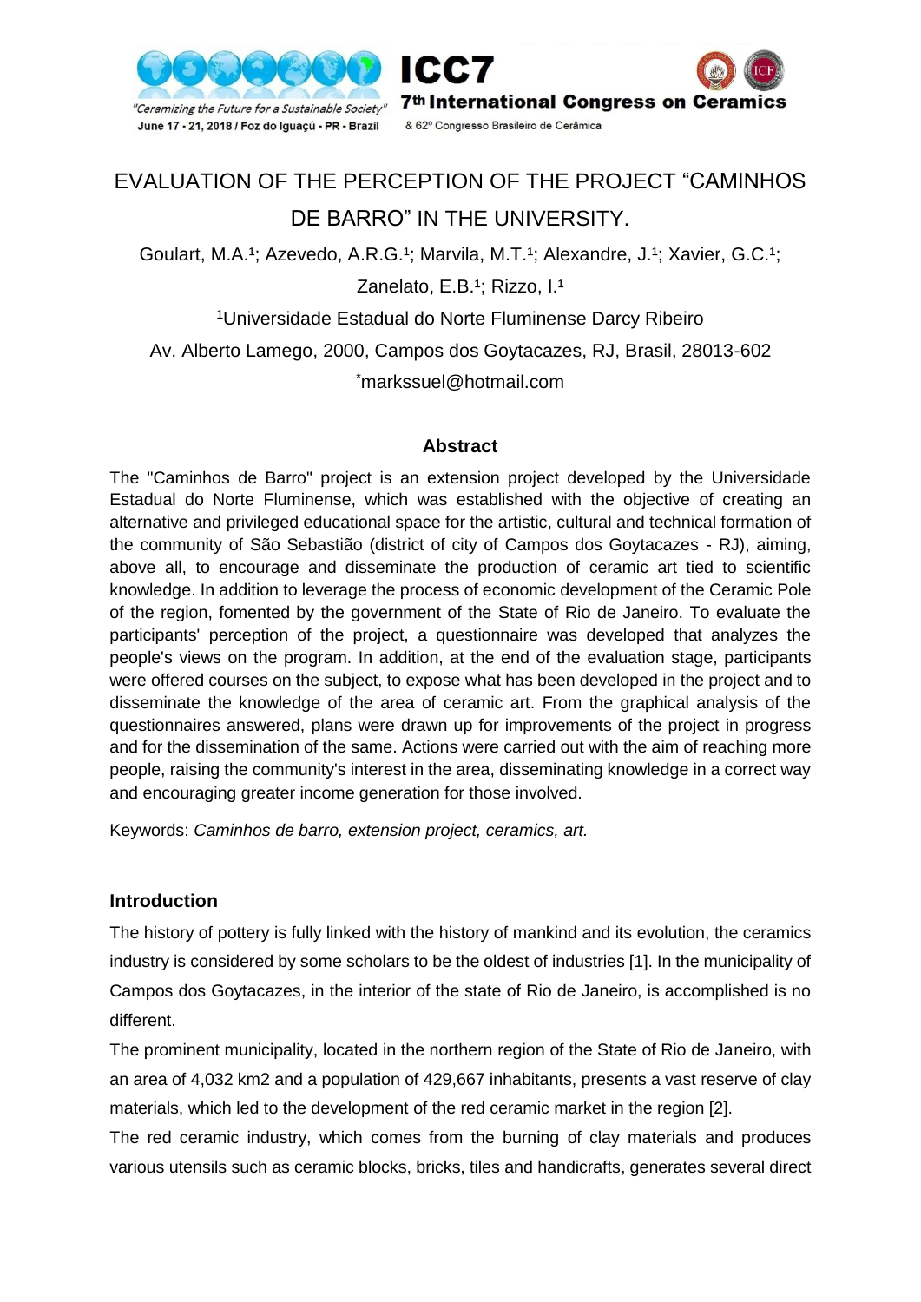



# EVALUATION OF THE PERCEPTION OF THE PROJECT "CAMINHOS DE BARRO" IN THE UNIVERSITY.

Goulart, M.A.<sup>1</sup>; Azevedo, A.R.G.<sup>1</sup>; Marvila, M.T.<sup>1</sup>; Alexandre, J.<sup>1</sup>; Xavier, G.C.<sup>1</sup>;

Zanelato, E.B.<sup>1</sup>; Rizzo, I.<sup>1</sup>

<sup>1</sup>Universidade Estadual do Norte Fluminense Darcy Ribeiro Av. Alberto Lamego, 2000, Campos dos Goytacazes, RJ, Brasil, 28013-602 \*markssuel@hotmail.com

### **Abstract**

The "Caminhos de Barro" project is an extension project developed by the Universidade Estadual do Norte Fluminense, which was established with the objective of creating an alternative and privileged educational space for the artistic, cultural and technical formation of the community of São Sebastião (district of city of Campos dos Goytacazes - RJ), aiming, above all, to encourage and disseminate the production of ceramic art tied to scientific knowledge. In addition to leverage the process of economic development of the Ceramic Pole of the region, fomented by the government of the State of Rio de Janeiro. To evaluate the participants' perception of the project, a questionnaire was developed that analyzes the people's views on the program. In addition, at the end of the evaluation stage, participants were offered courses on the subject, to expose what has been developed in the project and to disseminate the knowledge of the area of ceramic art. From the graphical analysis of the questionnaires answered, plans were drawn up for improvements of the project in progress and for the dissemination of the same. Actions were carried out with the aim of reaching more people, raising the community's interest in the area, disseminating knowledge in a correct way and encouraging greater income generation for those involved.

Keywords: *Caminhos de barro, extension project, ceramics, art.*

# **Introduction**

The history of pottery is fully linked with the history of mankind and its evolution, the ceramics industry is considered by some scholars to be the oldest of industries [1]. In the municipality of Campos dos Goytacazes, in the interior of the state of Rio de Janeiro, is accomplished is no different.

The prominent municipality, located in the northern region of the State of Rio de Janeiro, with an area of 4,032 km2 and a population of 429,667 inhabitants, presents a vast reserve of clay materials, which led to the development of the red ceramic market in the region [2].

The red ceramic industry, which comes from the burning of clay materials and produces various utensils such as ceramic blocks, bricks, tiles and handicrafts, generates several direct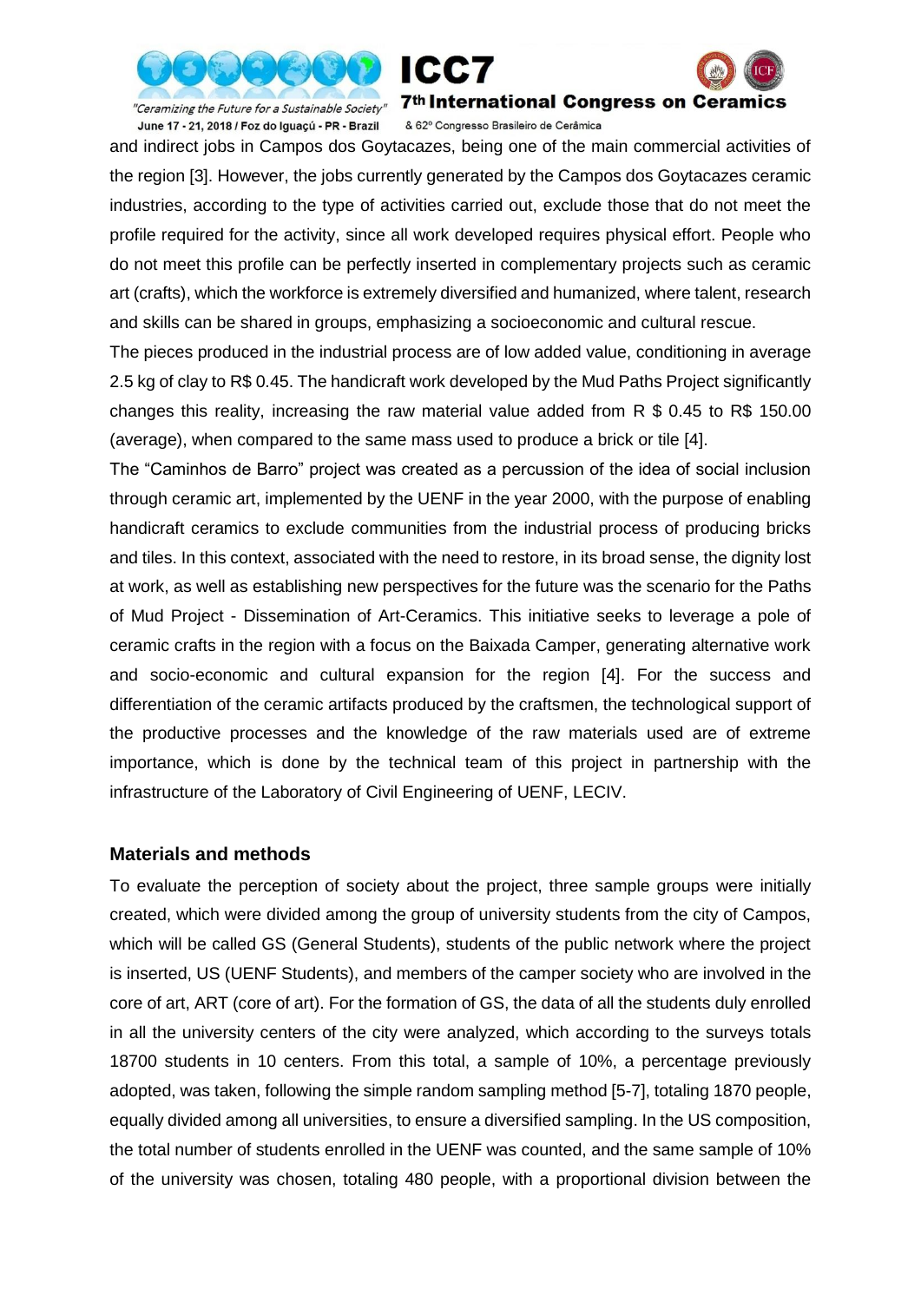



June 17 - 21, 2018 / Foz do Iguaçú - PR - Brazil

"Ceramizing the Future for a Sustainable Society" 7<sup>th</sup> International Congress on Ceramics

& 62º Congresso Brasileiro de Cerâmica

and indirect jobs in Campos dos Goytacazes, being one of the main commercial activities of the region [3]. However, the jobs currently generated by the Campos dos Goytacazes ceramic industries, according to the type of activities carried out, exclude those that do not meet the profile required for the activity, since all work developed requires physical effort. People who do not meet this profile can be perfectly inserted in complementary projects such as ceramic art (crafts), which the workforce is extremely diversified and humanized, where talent, research and skills can be shared in groups, emphasizing a socioeconomic and cultural rescue.

The pieces produced in the industrial process are of low added value, conditioning in average 2.5 kg of clay to R\$ 0.45. The handicraft work developed by the Mud Paths Project significantly changes this reality, increasing the raw material value added from R \$ 0.45 to R\$ 150.00 (average), when compared to the same mass used to produce a brick or tile [4].

The "Caminhos de Barro" project was created as a percussion of the idea of social inclusion through ceramic art, implemented by the UENF in the year 2000, with the purpose of enabling handicraft ceramics to exclude communities from the industrial process of producing bricks and tiles. In this context, associated with the need to restore, in its broad sense, the dignity lost at work, as well as establishing new perspectives for the future was the scenario for the Paths of Mud Project - Dissemination of Art-Ceramics. This initiative seeks to leverage a pole of ceramic crafts in the region with a focus on the Baixada Camper, generating alternative work and socio-economic and cultural expansion for the region [4]. For the success and differentiation of the ceramic artifacts produced by the craftsmen, the technological support of the productive processes and the knowledge of the raw materials used are of extreme importance, which is done by the technical team of this project in partnership with the infrastructure of the Laboratory of Civil Engineering of UENF, LECIV.

#### **Materials and methods**

To evaluate the perception of society about the project, three sample groups were initially created, which were divided among the group of university students from the city of Campos, which will be called GS (General Students), students of the public network where the project is inserted, US (UENF Students), and members of the camper society who are involved in the core of art, ART (core of art). For the formation of GS, the data of all the students duly enrolled in all the university centers of the city were analyzed, which according to the surveys totals 18700 students in 10 centers. From this total, a sample of 10%, a percentage previously adopted, was taken, following the simple random sampling method [5-7], totaling 1870 people, equally divided among all universities, to ensure a diversified sampling. In the US composition, the total number of students enrolled in the UENF was counted, and the same sample of 10% of the university was chosen, totaling 480 people, with a proportional division between the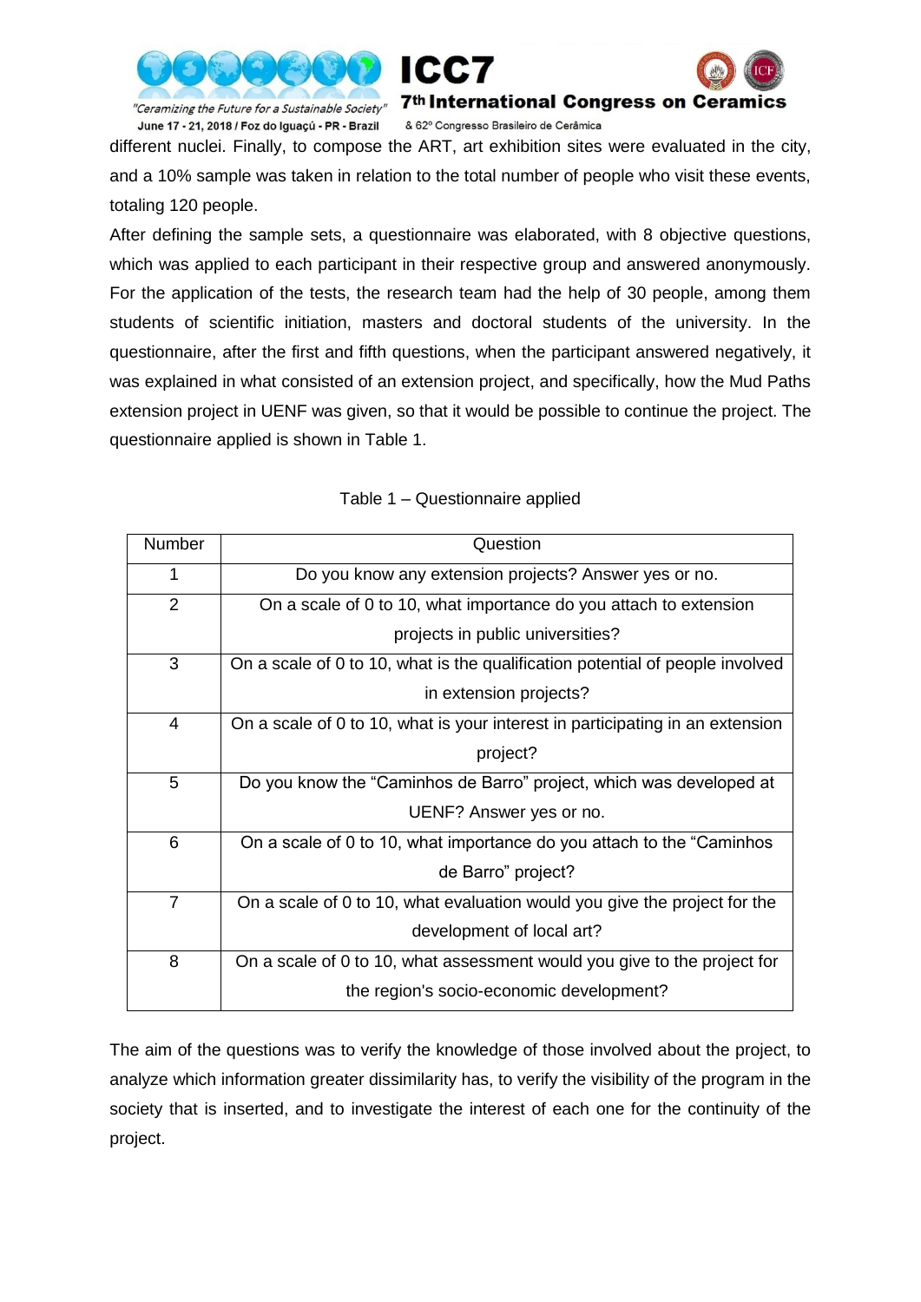



"Ceramizing the Future for a Sustainable Society" June 17 - 21, 2018 / Foz do Iguaçú - PR - Brazil

& 62º Congresso Brasileiro de Cerâmica

different nuclei. Finally, to compose the ART, art exhibition sites were evaluated in the city, and a 10% sample was taken in relation to the total number of people who visit these events, totaling 120 people.

After defining the sample sets, a questionnaire was elaborated, with 8 objective questions, which was applied to each participant in their respective group and answered anonymously. For the application of the tests, the research team had the help of 30 people, among them students of scientific initiation, masters and doctoral students of the university. In the questionnaire, after the first and fifth questions, when the participant answered negatively, it was explained in what consisted of an extension project, and specifically, how the Mud Paths extension project in UENF was given, so that it would be possible to continue the project. The questionnaire applied is shown in Table 1.

| Number         | Question                                                                      |
|----------------|-------------------------------------------------------------------------------|
| 1              | Do you know any extension projects? Answer yes or no.                         |
| 2              | On a scale of 0 to 10, what importance do you attach to extension             |
|                | projects in public universities?                                              |
| 3              | On a scale of 0 to 10, what is the qualification potential of people involved |
|                | in extension projects?                                                        |
| 4              | On a scale of 0 to 10, what is your interest in participating in an extension |
|                | project?                                                                      |
| 5              | Do you know the "Caminhos de Barro" project, which was developed at           |
|                | UENF? Answer yes or no.                                                       |
| 6              | On a scale of 0 to 10, what importance do you attach to the "Caminhos"        |
|                | de Barro" project?                                                            |
| $\overline{7}$ | On a scale of 0 to 10, what evaluation would you give the project for the     |
|                | development of local art?                                                     |
| 8              | On a scale of 0 to 10, what assessment would you give to the project for      |
|                | the region's socio-economic development?                                      |

Table 1 – Questionnaire applied

The aim of the questions was to verify the knowledge of those involved about the project, to analyze which information greater dissimilarity has, to verify the visibility of the program in the society that is inserted, and to investigate the interest of each one for the continuity of the project.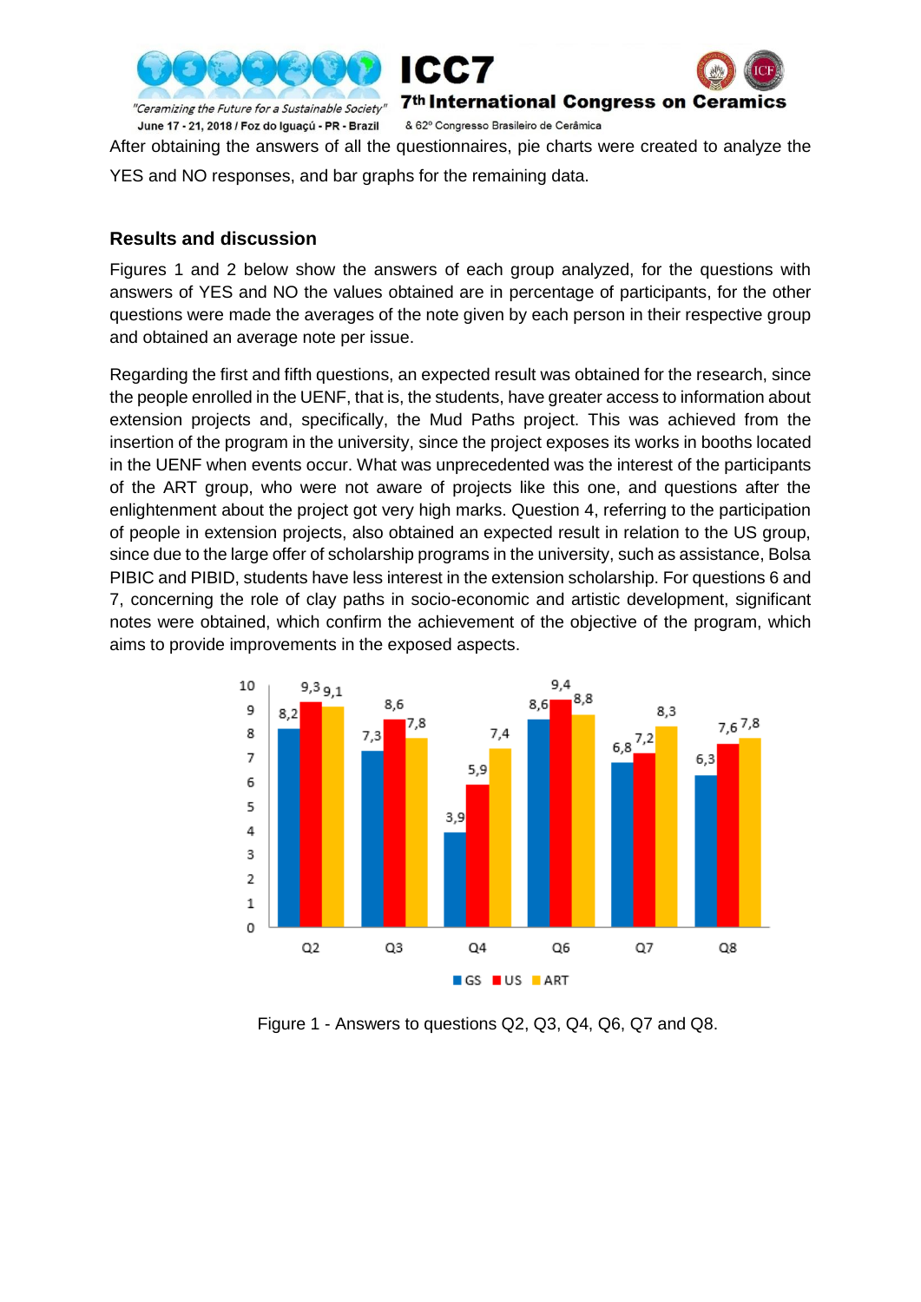



After obtaining the answers of all the questionnaires, pie charts were created to analyze the

YES and NO responses, and bar graphs for the remaining data.

### **Results and discussion**

Figures 1 and 2 below show the answers of each group analyzed, for the questions with answers of YES and NO the values obtained are in percentage of participants, for the other questions were made the averages of the note given by each person in their respective group and obtained an average note per issue.

Regarding the first and fifth questions, an expected result was obtained for the research, since the people enrolled in the UENF, that is, the students, have greater access to information about extension projects and, specifically, the Mud Paths project. This was achieved from the insertion of the program in the university, since the project exposes its works in booths located in the UENF when events occur. What was unprecedented was the interest of the participants of the ART group, who were not aware of projects like this one, and questions after the enlightenment about the project got very high marks. Question 4, referring to the participation of people in extension projects, also obtained an expected result in relation to the US group, since due to the large offer of scholarship programs in the university, such as assistance, Bolsa PIBIC and PIBID, students have less interest in the extension scholarship. For questions 6 and 7, concerning the role of clay paths in socio-economic and artistic development, significant notes were obtained, which confirm the achievement of the objective of the program, which aims to provide improvements in the exposed aspects.



Figure 1 - Answers to questions Q2, Q3, Q4, Q6, Q7 and Q8.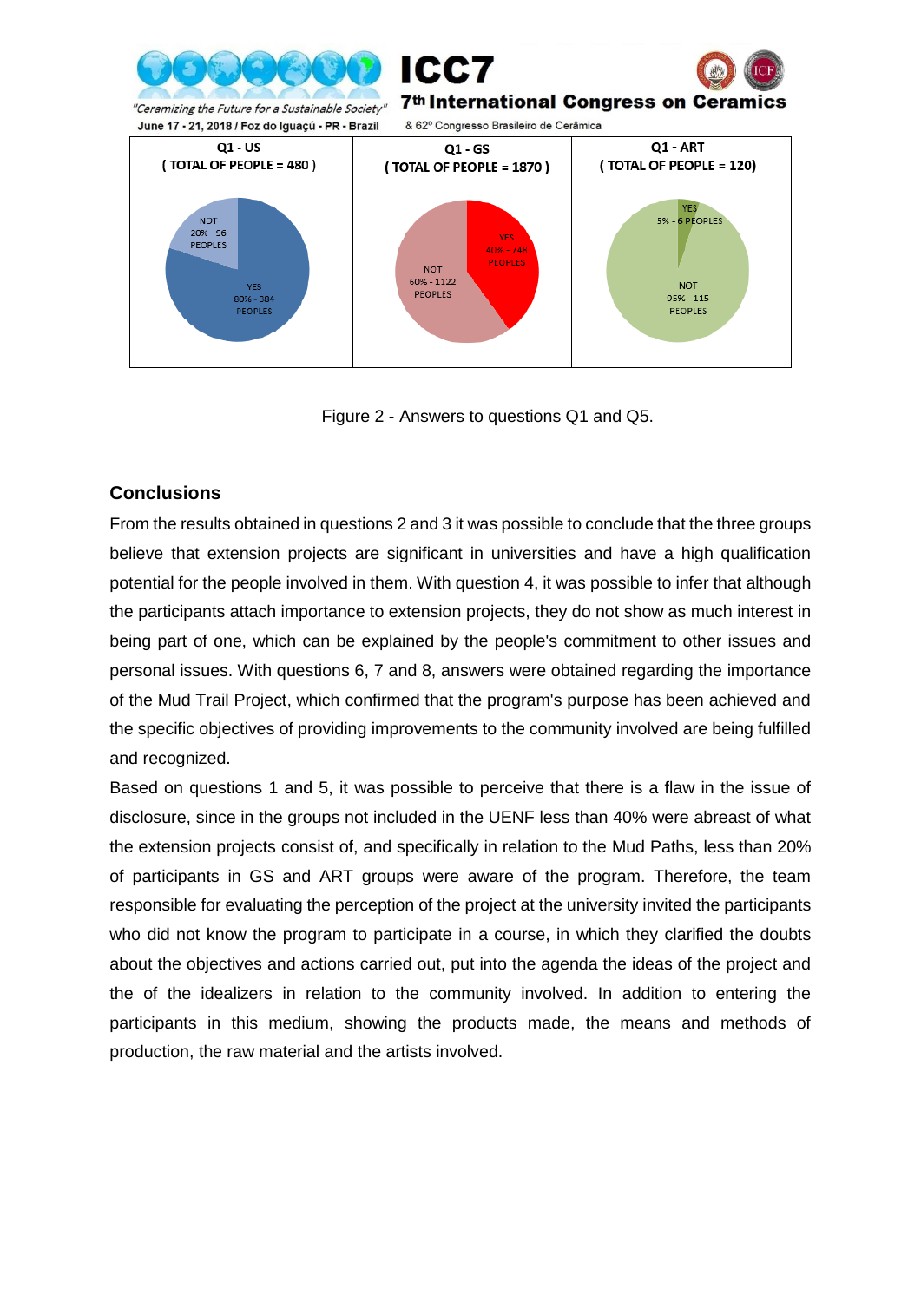

Figure 2 - Answers to questions Q1 and Q5.

# **Conclusions**

From the results obtained in questions 2 and 3 it was possible to conclude that the three groups believe that extension projects are significant in universities and have a high qualification potential for the people involved in them. With question 4, it was possible to infer that although the participants attach importance to extension projects, they do not show as much interest in being part of one, which can be explained by the people's commitment to other issues and personal issues. With questions 6, 7 and 8, answers were obtained regarding the importance of the Mud Trail Project, which confirmed that the program's purpose has been achieved and the specific objectives of providing improvements to the community involved are being fulfilled and recognized.

Based on questions 1 and 5, it was possible to perceive that there is a flaw in the issue of disclosure, since in the groups not included in the UENF less than 40% were abreast of what the extension projects consist of, and specifically in relation to the Mud Paths, less than 20% of participants in GS and ART groups were aware of the program. Therefore, the team responsible for evaluating the perception of the project at the university invited the participants who did not know the program to participate in a course, in which they clarified the doubts about the objectives and actions carried out, put into the agenda the ideas of the project and the of the idealizers in relation to the community involved. In addition to entering the participants in this medium, showing the products made, the means and methods of production, the raw material and the artists involved.